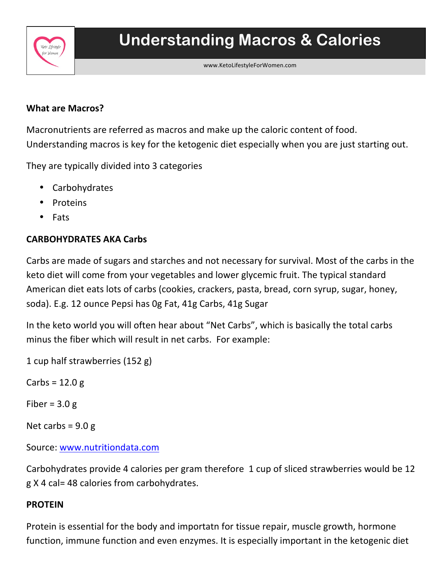

### **What are Macros?**

 

Macronutrients are referred as macros and make up the caloric content of food. Understanding macros is key for the ketogenic diet especially when you are just starting out.

They are typically divided into 3 categories

- **Carbohydrates**
- **Proteins**
- Fats

# **CARBOHYDRATES AKA Carbs**

Carbs are made of sugars and starches and not necessary for survival. Most of the carbs in the keto diet will come from your vegetables and lower glycemic fruit. The typical standard American diet eats lots of carbs (cookies, crackers, pasta, bread, corn syrup, sugar, honey, soda). E.g. 12 ounce Pepsi has Og Fat, 41g Carbs, 41g Sugar

In the keto world you will often hear about "Net Carbs", which is basically the total carbs minus the fiber which will result in net carbs. For example:

1 cup half strawberries (152 g)

Carbs =  $12.0 g$ 

Fiber =  $3.0 g$ 

Net carbs =  $9.0 g$ 

Source: www.nutritiondata.com

Carbohydrates provide 4 calories per gram therefore 1 cup of sliced strawberries would be 12 g X 4 cal= 48 calories from carbohydrates.

## **PROTEIN**

Protein is essential for the body and importatn for tissue repair, muscle growth, hormone function, immune function and even enzymes. It is especially important in the ketogenic diet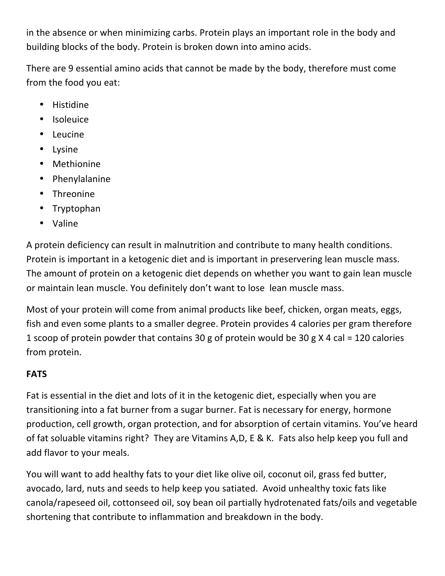in the absence or when minimizing carbs. Protein plays an important role in the body and building blocks of the body. Protein is broken down into amino acids.

There are 9 essential amino acids that cannot be made by the body, therefore must come from the food you eat:

- Histidine
- Isoleuice
- Leucine
- Lysine
- Methionine
- Phenylalanine
- Threonine
- Tryptophan
- Valine

A protein deficiency can result in malnutrition and contribute to many health conditions. Protein is important in a ketogenic diet and is important in preservering lean muscle mass. The amount of protein on a ketogenic diet depends on whether you want to gain lean muscle or maintain lean muscle. You definitely don't want to lose lean muscle mass.

Most of your protein will come from animal products like beef, chicken, organ meats, eggs, fish and even some plants to a smaller degree. Protein provides 4 calories per gram therefore 1 scoop of protein powder that contains 30 g of protein would be 30 g X 4 cal = 120 calories from protein.

# **FATS**

Fat is essential in the diet and lots of it in the ketogenic diet, especially when you are transitioning into a fat burner from a sugar burner. Fat is necessary for energy, hormone production, cell growth, organ protection, and for absorption of certain vitamins. You've heard of fat soluable vitamins right? They are Vitamins A,D, E & K. Fats also help keep you full and add flavor to your meals.

You will want to add healthy fats to your diet like olive oil, coconut oil, grass fed butter, avocado, lard, nuts and seeds to help keep you satiated. Avoid unhealthy toxic fats like canola/rapeseed oil, cottonseed oil, soy bean oil partially hydrotenated fats/oils and vegetable shortening that contribute to inflammation and breakdown in the body.